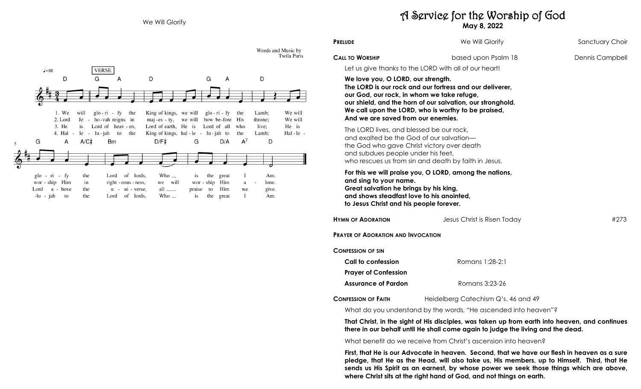

# A Service for the Worship of God **May 8, 2022**

**PRELUDE We Will Glorify Sanctuary Choir** 

**CALL TO WORSHIP Dennis Campbell based upon Psalm 18** Dennis Campbell

Let us give thanks to the LORD with all of our heart!

### **We love you, O LORD, our strength.**

**The LORD is our rock and our fortress and our deliverer, our God, our rock, in whom we take refuge, our shield, and the horn of our salvation, our stronghold. We call upon the LORD, who is worthy to be praised, And we are saved from our enemies.** 

The LORD lives, and blessed be our rock, and exalted be the God of our salvation the God who gave Christ victory over death and subdues people under his feet, who rescues us from sin and death by faith in Jesus.

**For this we will praise you, O LORD, among the nations, and sing to your name. Great salvation he brings by his king, and shows steadfast love to his anointed, to Jesus Christ and his people forever.** 

| <b>HYMN OF ADORATION</b>                  | Jesus Christ is Risen Today         | #273 |
|-------------------------------------------|-------------------------------------|------|
| <b>PRAYER OF ADORATION AND INVOCATION</b> |                                     |      |
| <b>CONFESSION OF SIN</b>                  |                                     |      |
| Call to confession                        | Romans 1:28-2:1                     |      |
| <b>Prayer of Confession</b>               |                                     |      |
| <b>Assurance of Pardon</b>                | Romans 3:23-26                      |      |
| <b>CONFESSION OF FAITH</b>                | Heidelberg Catechism Q's. 46 and 49 |      |

What do you understand by the words, "He ascended into heaven"?

**That Christ, in the sight of His disciples, was taken up from earth into heaven, and continues there in our behalf until He shall come again to judge the living and the dead.** 

What benefit do we receive from Christ's ascension into heaven?

**First, that He is our Advocate in heaven. Second, that we have our flesh in heaven as a sure pledge, that He as the Head, will also take us, His members, up to Himself. Third, that He sends us His Spirit as an earnest, by whose power we seek those things which are above, where Christ sits at the right hand of God, and not things on earth.**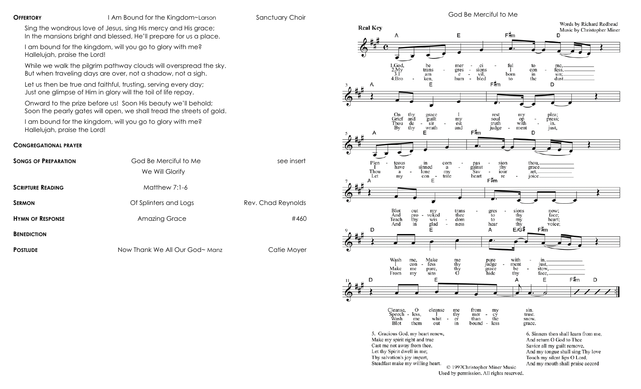**OFFERTORY** I Am Bound for the Kingdom~Larson Sanctuary Choir

Sing the wondrous love of Jesus, sing His mercy and His grace; In the mansions bright and blessed, He'll prepare for us a place.

I am bound for the kingdom, will you go to glory with me? Hallelujah, praise the Lord!

While we walk the pilgrim pathway clouds will overspread the sky. But when traveling days are over, not a shadow, not a sigh.

Let us then be true and faithful, trusting, serving every day; Just one glimpse of Him in glory will the toil of life repay.

Onward to the prize before us! Soon His beauty we'll behold; Soon the pearly gates will open, we shall tread the streets of gold.

I am bound for the kingdom, will you go to glory with me? Hallelujah, praise the Lord!

#### **CONGREGATIONAL PRAYER**

| <b>SONGS OF PREPARATION</b> | God Be Merciful to Me<br>We Will Glorify | see insert         |
|-----------------------------|------------------------------------------|--------------------|
|                             |                                          |                    |
| <b>SCRIPTURE READING</b>    | Matthew 7:1-6                            |                    |
| <b>SERMON</b>               | Of Splinters and Logs                    | Rev. Chad Reynolds |
| <b>HYMN OF RESPONSE</b>     | <b>Amazing Grace</b>                     | #460               |
| <b>BENEDICTION</b>          |                                          |                    |

**POSTLUDE Now Thank We All Our God~ Manz** Catie Moyer